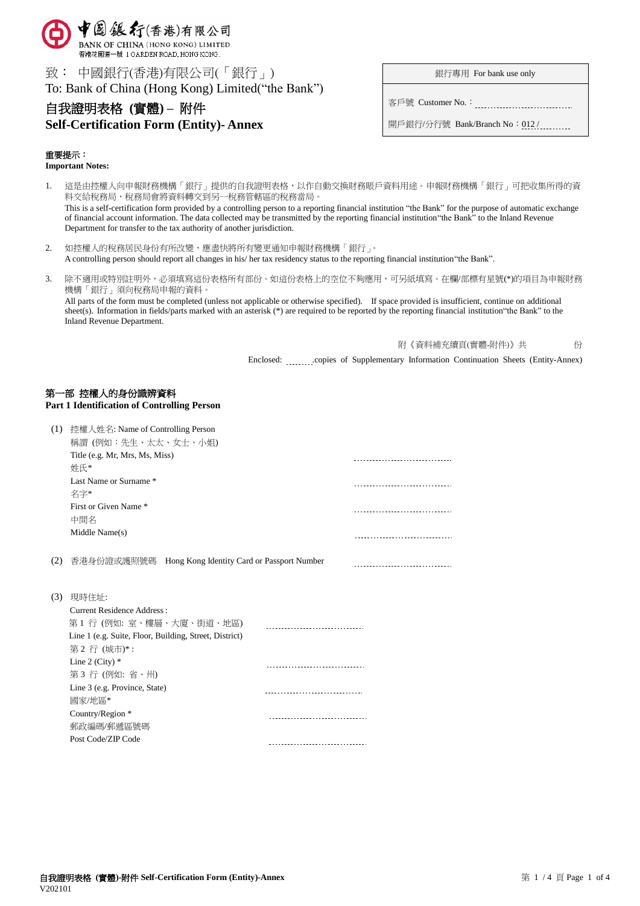

致: 中國銀行(香港)有限公司(「銀行」)

To: Bank of China (Hong Kong) Limited("the Bank")

# 自我證明表格 **(**實體**) –** 附件

# **Self-Certification Form (Entity)- Annex**

銀行專用 For bank use only

客戶號 Customer No.:

開戶銀行/分行號 Bank/Branch No: 012/

## 重要提示:

**Important Notes:**

- 1. 這是由控權人向申報財務機構「銀行」提供的自我證明表格,以作自動交換財務賬戶資料用途。申報財務機構「銀行」可把收集所得的資 料交給稅務局,稅務局會將資料轉交到另一稅務管轄區的稅務當局。 This is a self-certification form provided by a controlling person to a reporting financial institution "the Bank" for the purpose of automatic exchange of financial account information. The data collected may be transmitted by the reporting financial institution"the Bank" to the Inland Revenue Department for transfer to the tax authority of another jurisdiction.
- 2. 如控權人的稅務居民身份有所改變,應盡快將所有變更通知申報財務機構「銀行」。 A controlling person should report all changes in his/ her tax residency status to the reporting financial institution"the Bank".
- 3. 除不適用或特別註明外,必須填寫這份表格所有部份。如這份表格上的空位不夠應用,可另紙填寫。在欄/部標有星號(\*)的項目為申報財務 機構「銀行」須向稅務局申報的資料。

All parts of the form must be completed (unless not applicable or otherwise specified). If space provided is insufficient, continue on additional sheet(s). Information in fields/parts marked with an asterisk (\*) are required to be reported by the reporting financial institution"the Bank" to the Inland Revenue Department.

附《資料補充續頁(實體-附件)》共 份

Enclosed: .............copies of Supplementary Information Continuation Sheets (Entity-Annex)

# 第一部 控權人的身份識辨資料

**Part 1 Identification of Controlling Person**

|     | (1) 控權人姓名: Name of Controlling Person<br>稱謂 (例如:先生、太太、女士、小姐) |  |  |  |
|-----|--------------------------------------------------------------|--|--|--|
|     | Title (e.g. Mr, Mrs, Ms, Miss)<br>姓氏*                        |  |  |  |
|     | Last Name or Surname *<br>名字*                                |  |  |  |
|     | First or Given Name *<br>中間名                                 |  |  |  |
|     | Middle Name(s)                                               |  |  |  |
| (2) | 香港身份證或護照號碼 Hong Kong Identity Card or Passport Number        |  |  |  |
| (3) | 現時住址:                                                        |  |  |  |
|     | Current Residence Address:                                   |  |  |  |
|     | 第1行(例如:室、樓層、大廈、街道、地區)                                        |  |  |  |
|     | Line 1 (e.g. Suite, Floor, Building, Street, District)       |  |  |  |
|     | 第2行 (城市)*:                                                   |  |  |  |
|     | Line 2 (City) $*$                                            |  |  |  |
|     | 第3行 (例如: 省、州)                                                |  |  |  |
|     | Line 3 (e.g. Province, State)                                |  |  |  |
|     | 國家/地區*                                                       |  |  |  |
|     | Country/Region *                                             |  |  |  |
|     | 郵政編碼/郵遞區號碼                                                   |  |  |  |
|     | Post Code/ZIP Code                                           |  |  |  |
|     |                                                              |  |  |  |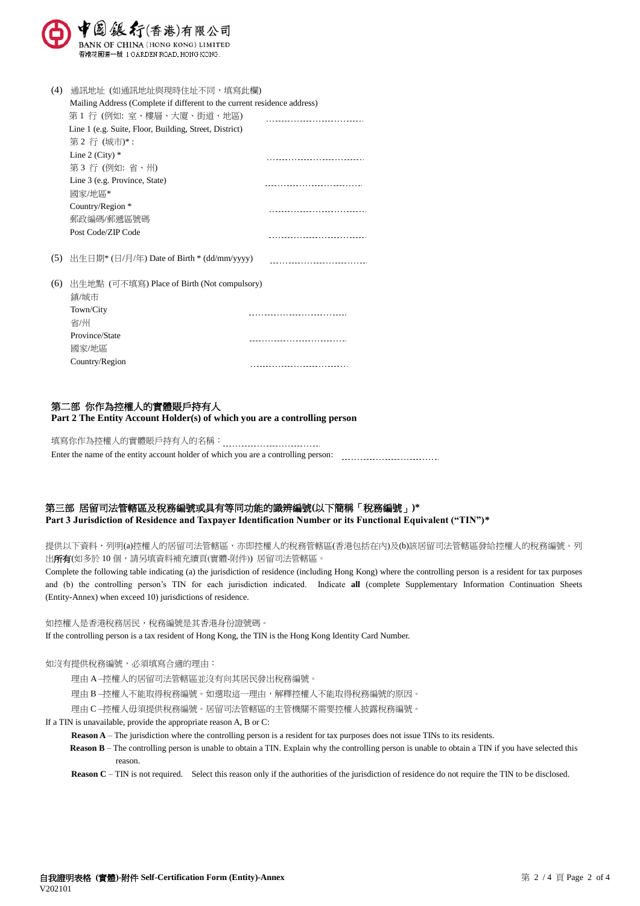

| (4) | 通訊地址 (如通訊地址與現時住址不同,填寫此欄)                                                 |  |  |  |
|-----|--------------------------------------------------------------------------|--|--|--|
|     | Mailing Address (Complete if different to the current residence address) |  |  |  |
|     | 第1 行 (例如: 室、樓層、大廈、街道、地區)                                                 |  |  |  |
|     | Line 1 (e.g. Suite, Floor, Building, Street, District)                   |  |  |  |
|     | 第2行 (城市)*:                                                               |  |  |  |
|     | Line 2 (City) $*$                                                        |  |  |  |
|     | 第3行(例如:省、州)                                                              |  |  |  |
|     | Line 3 (e.g. Province, State)                                            |  |  |  |
|     | 國家/地區*                                                                   |  |  |  |
|     | Country/Region *                                                         |  |  |  |
|     | 郵政編碼/郵遞區號碼                                                               |  |  |  |
|     | Post Code/ZIP Code                                                       |  |  |  |
| (5) | 出生日期* (日/月/年) Date of Birth * (dd/mm/yyyy)                               |  |  |  |
| (6) | 出生地點 (可不填寫) Place of Birth (Not compulsory)                              |  |  |  |
|     | 鎮/城市                                                                     |  |  |  |
|     | Town/City                                                                |  |  |  |
|     | 省/州                                                                      |  |  |  |
|     | Province/State                                                           |  |  |  |
|     | 國家/地區                                                                    |  |  |  |
|     | Country/Region                                                           |  |  |  |

# 第二部 你作為控權人的實體賬戶持有人

**Part 2 The Entity Account Holder(s) of which you are a controlling person**

填寫你作為控權人的實體賬戶持有人的名稱: Enter the name of the entity account holder of which you are a controlling person:

# 第三部 居留司法管轄區及稅務編號或具有等同功能的識辨編號**(**以下簡稱「稅務編號」**)\***

**Part 3 Jurisdiction of Residence and Taxpayer Identification Number or its Functional Equivalent ("TIN")\***

提供以下資料,列明(a)控權人的居留司法管轄區,亦即控權人的稅務管轄區(香港包括在內)及(b)該居留司法管轄區發給控權人的稅務編號。列 出**所有**(如多於10個,請另填資料補充續頁(實體-附件)) 居留司法管轄區。

Complete the following table indicating (a) the jurisdiction of residence (including Hong Kong) where the controlling person is a resident for tax purposes and (b) the controlling person's TIN for each jurisdiction indicated. Indicate **all** (complete Supplementary Information Continuation Sheets (Entity-Annex) when exceed 10) jurisdictions of residence.

如控權人是香港稅務居民,稅務編號是其香港身份證號碼。

If the controlling person is a tax resident of Hong Kong, the TIN is the Hong Kong Identity Card Number.

#### 如沒有提供稅務編號,必須填寫合適的理由:

理由 A –控權人的居留司法管轄區並沒有向其居民發出稅務編號。

理由 B –控權人不能取得稅務編號。如選取這一理由,解釋控權人不能取得稅務編號的原因。

理由 C –控權人毋須提供稅務編號。居留司法管轄區的主管機關不需要控權人披露稅務編號。

#### If a TIN is unavailable, provide the appropriate reason A, B or C:

**Reason A** – The jurisdiction where the controlling person is a resident for tax purposes does not issue TINs to its residents.

**Reason B** – The controlling person is unable to obtain a TIN. Explain why the controlling person is unable to obtain a TIN if you have selected this reason.

**Reason C** – TIN is not required. Select this reason only if the authorities of the jurisdiction of residence do not require the TIN to be disclosed.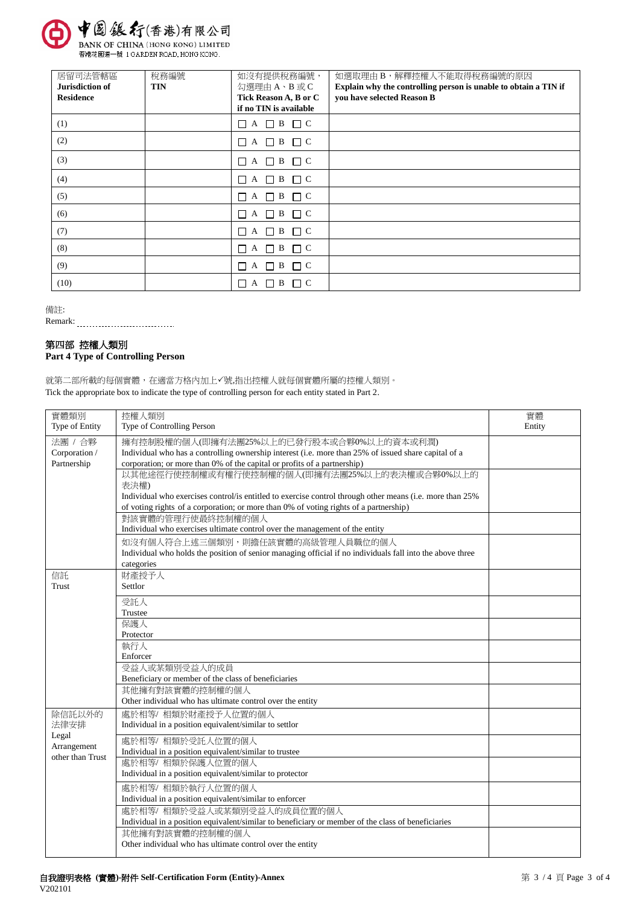

香港花園道一號 1 GARDEN ROAD, HONG KONG.

| 居留司法管轄區<br>Jurisdiction of | 稅務編號<br><b>TIN</b> | 如沒有提供稅務編號,<br>勾選理由 A、B 或 C                      | 如選取理由B,解釋控權人不能取得稅務編號的原因<br>Explain why the controlling person is unable to obtain a TIN if |
|----------------------------|--------------------|-------------------------------------------------|--------------------------------------------------------------------------------------------|
| <b>Residence</b>           |                    | Tick Reason A, B or C<br>if no TIN is available | you have selected Reason B                                                                 |
| (1)                        |                    | $\Box$ A $\Box$ B $\Box$ C                      |                                                                                            |
| (2)                        |                    | $\Box$ A $\Box$ B $\Box$ C                      |                                                                                            |
| (3)                        |                    | $\Box A \Box B \Box C$                          |                                                                                            |
| (4)                        |                    |                                                 |                                                                                            |
| (5)                        |                    | $\Box$ A $\Box$ B $\Box$ C                      |                                                                                            |
| (6)                        |                    | $\Box$ A $\Box$ B<br>$\Box$ C                   |                                                                                            |
| (7)                        |                    | $\Box$ A $\Box$ B<br>$\Box$ C                   |                                                                                            |
| (8)                        |                    | $\Box$ A $\Box$ B<br>$\Box$ C                   |                                                                                            |
| (9)                        |                    | $\Box$ A $\Box$ B<br>$\Box$ C                   |                                                                                            |
| (10)                       |                    | $\sqcap$ C<br>B<br>A                            |                                                                                            |

備註:

Remark:

# 第四部 控權人類別

# **Part 4 Type of Controlling Person**

就第二部所載的每個實體,在適當方格內加上√號,指出控權人就每個實體所屬的控權人類別。 Tick the appropriate box to indicate the type of controlling person for each entity stated in Part 2.

| 實體類別<br>Type of Entity | 控權人類別<br>Type of Controlling Person                                                                       | 實體<br>Entity |
|------------------------|-----------------------------------------------------------------------------------------------------------|--------------|
| 法團 / 合夥                | 擁有控制股權的個人(即擁有法團25%以上的已發行股本或合夥0%以上的資本或利潤)                                                                  |              |
| Corporation /          | Individual who has a controlling ownership interest (i.e. more than 25% of issued share capital of a      |              |
| Partnership            | corporation; or more than 0% of the capital or profits of a partnership)                                  |              |
|                        | 以其他途徑行使控制權或有權行使控制權的個人(即擁有法團25%以上的表決權或合夥0%以上的<br>表決權)                                                      |              |
|                        | Individual who exercises control/is entitled to exercise control through other means (i.e. more than 25%  |              |
|                        | of voting rights of a corporation; or more than 0% of voting rights of a partnership)                     |              |
|                        | 對該實體的管理行使最終控制權的個人                                                                                         |              |
|                        | Individual who exercises ultimate control over the management of the entity                               |              |
|                        | 如沒有個人符合上述三個類別,則擔任該實體的高級管理人員職位的個人                                                                          |              |
|                        | Individual who holds the position of senior managing official if no individuals fall into the above three |              |
|                        | categories                                                                                                |              |
| 信託                     | 財產授予人                                                                                                     |              |
| Trust                  | Settlor                                                                                                   |              |
|                        | 受託人                                                                                                       |              |
|                        | Trustee                                                                                                   |              |
|                        | 保護人                                                                                                       |              |
|                        | Protector                                                                                                 |              |
|                        | 執行人                                                                                                       |              |
|                        | Enforcer                                                                                                  |              |
|                        | 受益人或某類別受益人的成員                                                                                             |              |
|                        | Beneficiary or member of the class of beneficiaries                                                       |              |
|                        | 其他擁有對該實體的控制權的個人                                                                                           |              |
|                        | Other individual who has ultimate control over the entity                                                 |              |
| 除信託以外的                 | 處於相等/相類於財產授予人位置的個人                                                                                        |              |
| 法律安排                   | Individual in a position equivalent/similar to settlor                                                    |              |
| Legal                  | 處於相等/相類於受託人位置的個人                                                                                          |              |
| Arrangement            | Individual in a position equivalent/similar to trustee                                                    |              |
| other than Trust       | 處於相等/相類於保護人位置的個人                                                                                          |              |
|                        | Individual in a position equivalent/similar to protector                                                  |              |
|                        | 處於相等/相類於執行人位置的個人                                                                                          |              |
|                        | Individual in a position equivalent/similar to enforcer                                                   |              |
|                        | 處於相等/相類於受益人或某類別受益人的成員位置的個人                                                                                |              |
|                        | Individual in a position equivalent/similar to beneficiary or member of the class of beneficiaries        |              |
|                        | 其他擁有對該實體的控制權的個人                                                                                           |              |
|                        | Other individual who has ultimate control over the entity                                                 |              |
|                        |                                                                                                           |              |